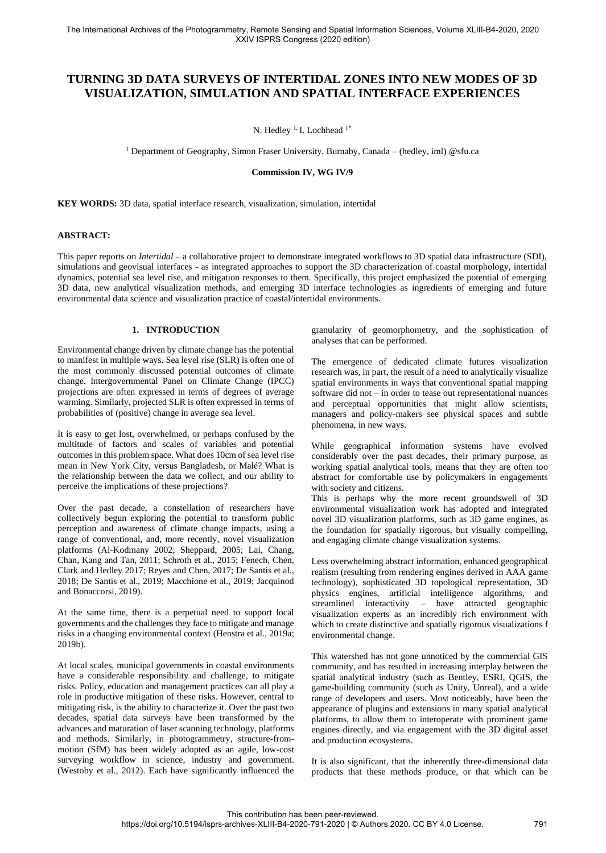# **TURNING 3D DATA SURVEYS OF INTERTIDAL ZONES INTO NEW MODES OF 3D VISUALIZATION, SIMULATION AND SPATIAL INTERFACE EXPERIENCES**

N. Hedley<sup>1,</sup> I. Lochhead<sup>1\*</sup>

<sup>1</sup> Department of Geography, Simon Fraser University, Burnaby, Canada – (hedley, iml) @sfu.ca

**Commission IV, WG IV/9**

**KEY WORDS:** 3D data, spatial interface research, visualization, simulation, intertidal

# **ABSTRACT:**

This paper reports on *Intertidal* – a collaborative project to demonstrate integrated workflows to 3D spatial data infrastructure (SDI), simulations and geovisual interfaces - as integrated approaches to support the 3D characterization of coastal morphology, intertidal dynamics, potential sea level rise, and mitigation responses to them. Specifically, this project emphasized the potential of emerging 3D data, new analytical visualization methods, and emerging 3D interface technologies as ingredients of emerging and future environmental data science and visualization practice of coastal/intertidal environments.

## **1. INTRODUCTION**

Environmental change driven by climate change has the potential to manifest in multiple ways. Sea level rise (SLR) is often one of the most commonly discussed potential outcomes of climate change. Intergovernmental Panel on Climate Change (IPCC) projections are often expressed in terms of degrees of average warming. Similarly, projected SLR is often expressed in terms of probabilities of (positive) change in average sea level.

It is easy to get lost, overwhelmed, or perhaps confused by the multitude of factors and scales of variables and potential outcomes in this problem space. What does 10cm of sea level rise mean in New York City, versus Bangladesh, or Malé? What is the relationship between the data we collect, and our ability to perceive the implications of these projections?

Over the past decade, a constellation of researchers have collectively begun exploring the potential to transform public perception and awareness of climate change impacts, using a range of conventional, and, more recently, novel visualization platforms (Al-Kodmany 2002; Sheppard, 2005; Lai, Chang, Chan, Kang and Tan, 2011; Schroth et al., 2015; Fenech, Chen, Clark and Hedley 2017; Reyes and Chen, 2017; De Santis et al., 2018; De Santis et al., 2019; Macchione et al., 2019; Jacquinod and Bonaccorsi, 2019).

At the same time, there is a perpetual need to support local governments and the challenges they face to mitigate and manage risks in a changing environmental context (Henstra et al., 2019a; 2019b).

At local scales, municipal governments in coastal environments have a considerable responsibility and challenge, to mitigate risks. Policy, education and management practices can all play a role in productive mitigation of these risks. However, central to mitigating risk, is the ability to characterize it. Over the past two decades, spatial data surveys have been transformed by the advances and maturation of laser scanning technology, platforms and methods. Similarly, in photogrammetry, structure-frommotion (SfM) has been widely adopted as an agile, low-cost surveying workflow in science, industry and government. (Westoby et al., 2012). Each have significantly influenced the

granularity of geomorphometry, and the sophistication of analyses that can be performed.

The emergence of dedicated climate futures visualization research was, in part, the result of a need to analytically visualize spatial environments in ways that conventional spatial mapping software did not – in order to tease out representational nuances and perceptual opportunities that might allow scientists, managers and policy-makers see physical spaces and subtle phenomena, in new ways.

While geographical information systems have evolved considerably over the past decades, their primary purpose, as working spatial analytical tools, means that they are often too abstract for comfortable use by policymakers in engagements with society and citizens.

This is perhaps why the more recent groundswell of 3D environmental visualization work has adopted and integrated novel 3D visualization platforms, such as 3D game engines, as the foundation for spatially rigorous, but visually compelling, and engaging climate change visualization systems.

Less overwhelming abstract information, enhanced geographical realism (resulting from rendering engines derived in AAA game technology), sophisticated 3D topological representation, 3D physics engines, artificial intelligence algorithms, and streamlined interactivity – have attracted geographic visualization experts as an incredibly rich environment with which to create distinctive and spatially rigorous visualizations f environmental change.

This watershed has not gone unnoticed by the commercial GIS community, and has resulted in increasing interplay between the spatial analytical industry (such as Bentley, ESRI, QGIS, the game-building community (such as Unity, Unreal), and a wide range of developers and users. Most noticeably, have been the appearance of plugins and extensions in many spatial analytical platforms, to allow them to interoperate with prominent game engines directly, and via engagement with the 3D digital asset and production ecosystems.

It is also significant, that the inherently three-dimensional data products that these methods produce, or that which can be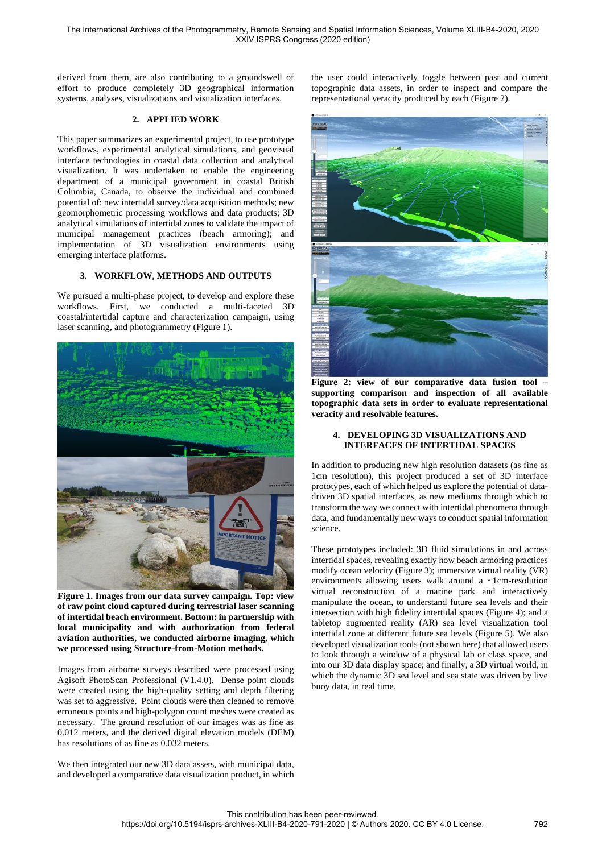derived from them, are also contributing to a groundswell of effort to produce completely 3D geographical information systems, analyses, visualizations and visualization interfaces.

## **2. APPLIED WORK**

This paper summarizes an experimental project, to use prototype workflows, experimental analytical simulations, and geovisual interface technologies in coastal data collection and analytical visualization. It was undertaken to enable the engineering department of a municipal government in coastal British Columbia, Canada, to observe the individual and combined potential of: new intertidal survey/data acquisition methods; new geomorphometric processing workflows and data products; 3D analytical simulations of intertidal zones to validate the impact of municipal management practices (beach armoring); and implementation of 3D visualization environments using emerging interface platforms.

## **3. WORKFLOW, METHODS AND OUTPUTS**

We pursued a multi-phase project, to develop and explore these workflows. First, we conducted a multi-faceted 3D coastal/intertidal capture and characterization campaign, using laser scanning, and photogrammetry (Figure 1).



**Figure 1. Images from our data survey campaign. Top: view of raw point cloud captured during terrestrial laser scanning of intertidal beach environment. Bottom: in partnership with local municipality and with authorization from federal aviation authorities, we conducted airborne imaging, which we processed using Structure-from-Motion methods.**

Images from airborne surveys described were processed using Agisoft PhotoScan Professional (V1.4.0). Dense point clouds were created using the high-quality setting and depth filtering was set to aggressive. Point clouds were then cleaned to remove erroneous points and high-polygon count meshes were created as necessary. The ground resolution of our images was as fine as 0.012 meters, and the derived digital elevation models (DEM) has resolutions of as fine as 0.032 meters.

We then integrated our new 3D data assets, with municipal data, and developed a comparative data visualization product, in which the user could interactively toggle between past and current topographic data assets, in order to inspect and compare the representational veracity produced by each (Figure 2).



**Figure 2: view of our comparative data fusion tool – supporting comparison and inspection of all available topographic data sets in order to evaluate representational veracity and resolvable features.**

## **4. DEVELOPING 3D VISUALIZATIONS AND INTERFACES OF INTERTIDAL SPACES**

In addition to producing new high resolution datasets (as fine as 1cm resolution), this project produced a set of 3D interface prototypes, each of which helped us explore the potential of datadriven 3D spatial interfaces, as new mediums through which to transform the way we connect with intertidal phenomena through data, and fundamentally new ways to conduct spatial information science.

These prototypes included: 3D fluid simulations in and across intertidal spaces, revealing exactly how beach armoring practices modify ocean velocity (Figure 3); immersive virtual reality (VR) environments allowing users walk around a ~1cm-resolution virtual reconstruction of a marine park and interactively manipulate the ocean, to understand future sea levels and their intersection with high fidelity intertidal spaces (Figure 4); and a tabletop augmented reality (AR) sea level visualization tool intertidal zone at different future sea levels (Figure 5). We also developed visualization tools (not shown here) that allowed users to look through a window of a physical lab or class space, and into our 3D data display space; and finally, a 3D virtual world, in which the dynamic 3D sea level and sea state was driven by live buoy data, in real time.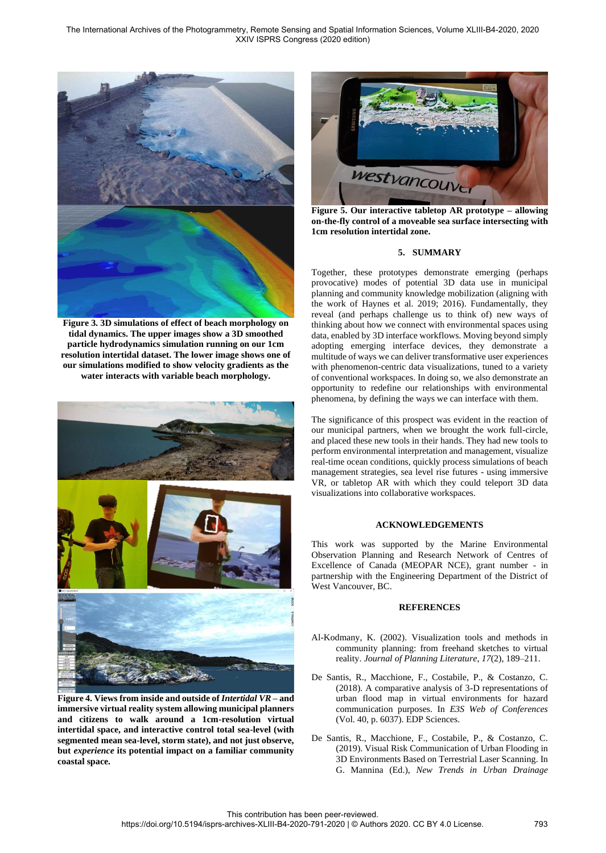The International Archives of the Photogrammetry, Remote Sensing and Spatial Information Sciences, Volume XLIII-B4-2020, 2020 XXIV ISPRS Congress (2020 edition)



**Figure 3. 3D simulations of effect of beach morphology on tidal dynamics. The upper images show a 3D smoothed particle hydrodynamics simulation running on our 1cm resolution intertidal dataset. The lower image shows one of our simulations modified to show velocity gradients as the water interacts with variable beach morphology.**



**Figure 4. Views from inside and outside of** *Intertidal VR* **– and immersive virtual reality system allowing municipal planners and citizens to walk around a 1cm-resolution virtual intertidal space, and interactive control total sea-level (with segmented mean sea-level, storm state), and not just observe, but** *experience* **its potential impact on a familiar community coastal space.**



**Figure 5. Our interactive tabletop AR prototype – allowing on-the-fly control of a moveable sea surface intersecting with 1cm resolution intertidal zone.**

#### **5. SUMMARY**

Together, these prototypes demonstrate emerging (perhaps provocative) modes of potential 3D data use in municipal planning and community knowledge mobilization (aligning with the work of Haynes et al. 2019; 2016). Fundamentally, they reveal (and perhaps challenge us to think of) new ways of thinking about how we connect with environmental spaces using data, enabled by 3D interface workflows. Moving beyond simply adopting emerging interface devices, they demonstrate a multitude of ways we can deliver transformative user experiences with phenomenon-centric data visualizations, tuned to a variety of conventional workspaces. In doing so, we also demonstrate an opportunity to redefine our relationships with environmental phenomena, by defining the ways we can interface with them.

The significance of this prospect was evident in the reaction of our municipal partners, when we brought the work full-circle, and placed these new tools in their hands. They had new tools to perform environmental interpretation and management, visualize real-time ocean conditions, quickly process simulations of beach management strategies, sea level rise futures - using immersive VR, or tabletop AR with which they could teleport 3D data visualizations into collaborative workspaces.

#### **ACKNOWLEDGEMENTS**

This work was supported by the Marine Environmental Observation Planning and Research Network of Centres of Excellence of Canada (MEOPAR NCE), grant number - in partnership with the Engineering Department of the District of West Vancouver, BC.

#### **REFERENCES**

- Al-Kodmany, K. (2002). Visualization tools and methods in community planning: from freehand sketches to virtual reality. *Journal of Planning Literature*, *17*(2), 189–211.
- De Santis, R., Macchione, F., Costabile, P., & Costanzo, C. (2018). A comparative analysis of 3-D representations of urban flood map in virtual environments for hazard communication purposes. In *E3S Web of Conferences* (Vol. 40, p. 6037). EDP Sciences.
- De Santis, R., Macchione, F., Costabile, P., & Costanzo, C. (2019). Visual Risk Communication of Urban Flooding in 3D Environments Based on Terrestrial Laser Scanning. In G. Mannina (Ed.), *New Trends in Urban Drainage*